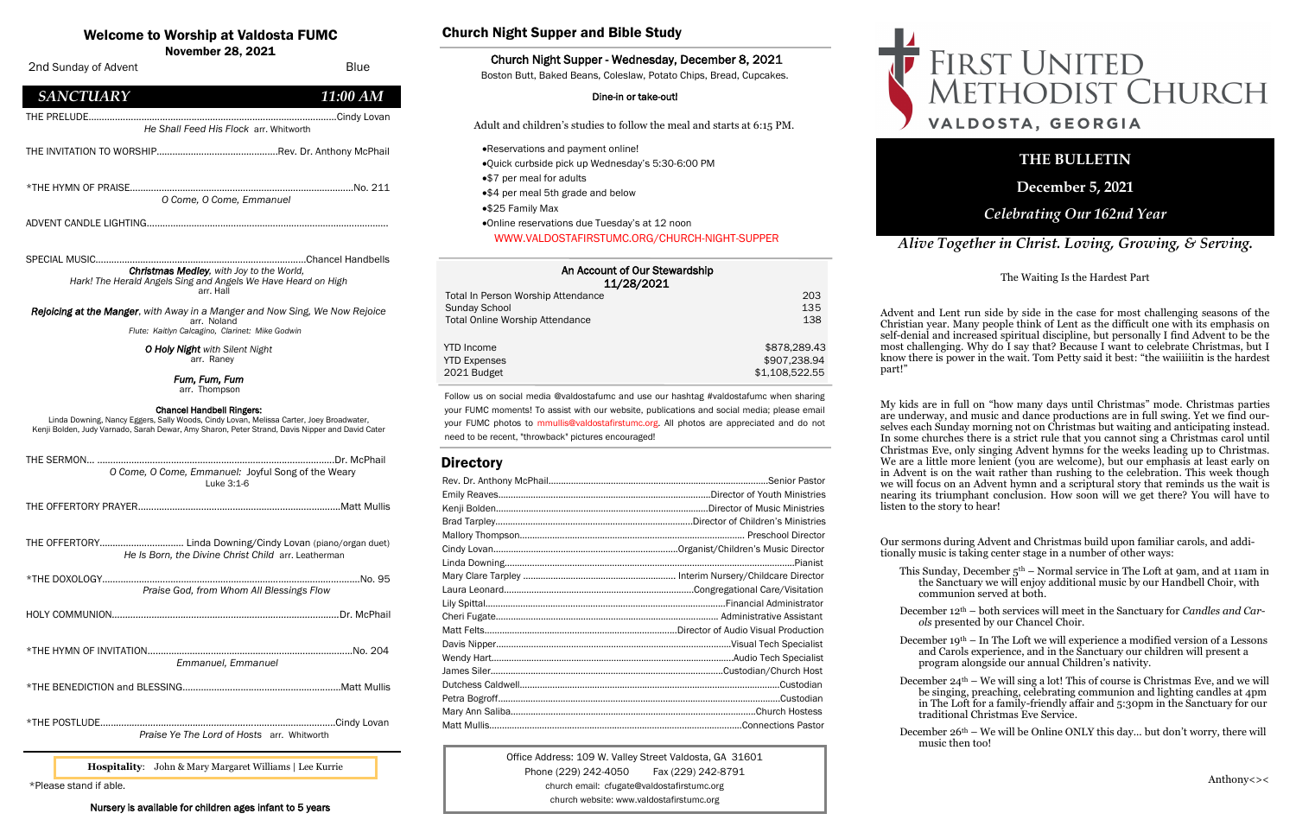| An Account of Our Stewardship<br>11/28/2021 |                |
|---------------------------------------------|----------------|
| Total In Person Worship Attendance          | 203            |
| Sunday School                               | 135            |
| <b>Total Online Worship Attendance</b>      | 138            |
| <b>YTD</b> Income                           | \$878,289,43   |
| <b>YTD Expenses</b>                         | \$907,238.94   |
| 2021 Budget                                 | \$1,108,522.55 |

## Welcome to Worship at Valdosta FUMC

Office Address: 109 W. Valley Street Valdosta, GA 31601 Phone (229) 242-4050 Fax (229) 242-8791 church email: cfugate@valdostafirstumc.org church website: www.valdostafirstumc.org





## *Alive Together in Christ. Loving, Growing, & Serving.*

## **THE BULLETIN**

**December 5, 2021**

## *Celebrating Our 162nd Year*

Follow us on social media @valdostafumc and use our hashtag #valdostafumc when sharing your FUMC moments! To assist with our website, publications and social media; please email your FUMC photos to mmullis@valdostafirstumc.org. All photos are appreciated and do not need to be recent, "throwback" pictures encouraged!

## **Directory**

\*Please stand if able.

Nursery is available for children ages infant to 5 years

 November 28, 2021 2nd Sunday of Advent Blue *SANCTUARY 11:00 AM* THE PRELUDE……….....................................................................................Cindy Lovan  *He Shall Feed His Flock* arr. Whitworth THE INVITATION TO WORSHIP………………............................Rev. Dr. Anthony McPhail \*THE HYMN OF PRAISE…………………………………………….......…………...………...No. 211 *O Come, O Come, Emmanuel*  ADVENT CANDLE LIGHTING…………….…………………………………………………………………. SPECIAL MUSIC………………..………………………………………………...…Chancel Handbells *Christmas Medley, with Joy to the World, Hark! The Herald Angels Sing and Angels We Have Heard on High* arr. Hall *Rejoicing at the Manger*, *with Away in a Manger and Now Sing, We Now Rejoice* arr. Noland  *Flute: Kaitlyn Calcagino, Clarinet: Mike Godwin O Holy Night with Silent Night* arr. Raney *Fum, Fum, Fum*  arr. Thompson Chancel Handbell Ringers: Linda Downing, Nancy Eggers, Sally Woods, Cindy Lovan, Melissa Carter, Joey Broadwater, Kenji Bolden, Judy Varnado, Sarah Dewar, Amy Sharon, Peter Strand, Davis Nipper and David Cater THE SERMON… ………………........................................................................Dr. McPhail  *O Come, O Come, Emmanuel:* Joyful Song of the Weary Luke 3:1-6 THE OFFERTORY PRAYER……………………………………………...….……...……….Matt Mullis THE OFFERTORY………………………..… Linda Downing/Cindy Lovan (piano/organ duet)  *He Is Born, the Divine Christ Child* arr. Leatherman \*THE DOXOLOGY……………………………………………....………………..…………...….....No. 95  *Praise God, from Whom All Blessings Flow* HOLY COMMUNION*…………………………………………………………………………..*Dr. McPhail \*THE HYMN OF INVITATION……...……..…….…………………………………………......No. 204  *Emmanuel, Emmanuel* \*THE BENEDICTION and BLESSING…………................................................Matt Mullis \*THE POSTLUDE…...*………………………….……………...…*…………………..….....Cindy Lovan  *Praise Ye The Lord of Hosts* arr. Whitworth

December  $26<sup>th</sup>$  – We will be Online ONLY this day... but don't worry, there will music then too!

# FIRST UNITED<br>METHODIST CHURCH VALDOSTA, GEORGIA

**Hospitality**: John & Mary Margaret Williams | Lee Kurrie

### Church Night Supper and Bible Study

#### Church Night Supper - Wednesday, December 8, 2021

Boston Butt, Baked Beans, Coleslaw, Potato Chips, Bread, Cupcakes.

#### Dine-in or take-out!

Adult and children's studies to follow the meal and starts at 6:15 PM.

- •Reservations and payment online!
- •Quick curbside pick up Wednesday's 5:30-6:00 PM
- •\$7 per meal for adults
- •\$4 per meal 5th grade and below
- •\$25 Family Max
- •Online reservations due Tuesday's at 12 noon

WWW.VALDOSTAFIRSTUMC.ORG/CHURCH-NIGHT-SUPPER

The Waiting Is the Hardest Part

Advent and Lent run side by side in the case for most challenging seasons of the Christian year. Many people think of Lent as the difficult one with its emphasis on self-denial and increased spiritual discipline, but personally I find Advent to be the most challenging. Why do I say that? Because I want to celebrate Christmas, but I know there is power in the wait. Tom Petty said it best: "the waiiiiitin is the hardest

part!"

My kids are in full on "how many days until Christmas" mode. Christmas parties are underway, and music and dance productions are in full swing. Yet we find ourselves each Sunday morning not on Christmas but waiting and anticipating instead. In some churches there is a strict rule that you cannot sing a Christmas carol until Christmas Eve, only singing Advent hymns for the weeks leading up to Christmas. We are a little more lenient (you are welcome), but our emphasis at least early on in Advent is on the wait rather than rushing to the celebration. This week though we will focus on an Advent hymn and a scriptural story that reminds us the wait is nearing its triumphant conclusion. How soon will we get there? You will have to listen to the story to hear!

Our sermons during Advent and Christmas build upon familiar carols, and additionally music is taking center stage in a number of other ways:

This Sunday, December 5th – Normal service in The Loft at 9am, and at 11am in the Sanctuary we will enjoy additional music by our Handbell Choir, with communion served at both.

December 12th – both services will meet in the Sanctuary for *Candles and Carols* presented by our Chancel Choir.

December 19th – In The Loft we will experience a modified version of a Lessons and Carols experience, and in the Sanctuary our children will present a program alongside our annual Children's nativity.

December 24th – We will sing a lot! This of course is Christmas Eve, and we will be singing, preaching, celebrating communion and lighting candles at 4pm in The Loft for a family-friendly affair and 5:30pm in the Sanctuary for our traditional Christmas Eve Service.

Anthony<><